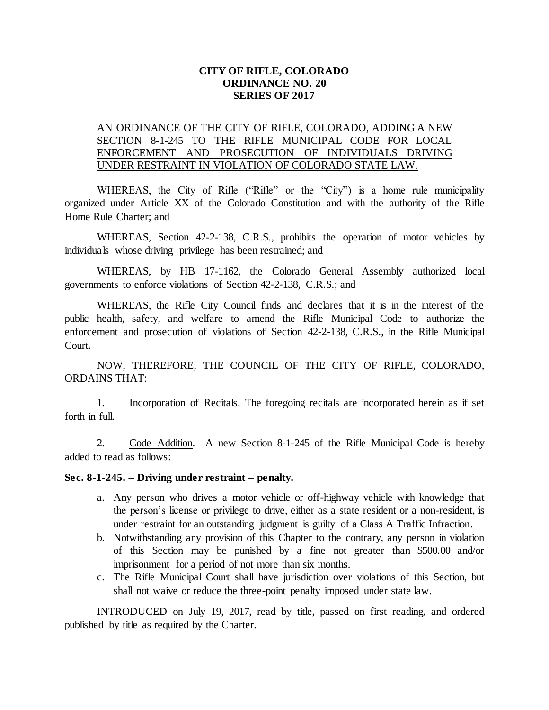## **CITY OF RIFLE, COLORADO ORDINANCE NO. 20 SERIES OF 2017**

## AN ORDINANCE OF THE CITY OF RIFLE, COLORADO, ADDING A NEW SECTION 8-1-245 TO THE RIFLE MUNICIPAL CODE FOR LOCAL ENFORCEMENT AND PROSECUTION OF INDIVIDUALS DRIVING UNDER RESTRAINT IN VIOLATION OF COLORADO STATE LAW.

WHEREAS, the City of Rifle ("Rifle" or the "City") is a home rule municipality organized under Article XX of the Colorado Constitution and with the authority of the Rifle Home Rule Charter; and

WHEREAS, Section 42-2-138, C.R.S., prohibits the operation of motor vehicles by individuals whose driving privilege has been restrained; and

WHEREAS, by HB 17-1162, the Colorado General Assembly authorized local governments to enforce violations of Section 42-2-138, C.R.S.; and

WHEREAS, the Rifle City Council finds and declares that it is in the interest of the public health, safety, and welfare to amend the Rifle Municipal Code to authorize the enforcement and prosecution of violations of Section 42-2-138, C.R.S., in the Rifle Municipal Court.

NOW, THEREFORE, THE COUNCIL OF THE CITY OF RIFLE, COLORADO, ORDAINS THAT:

1. Incorporation of Recitals. The foregoing recitals are incorporated herein as if set forth in full.

2. Code Addition. A new Section 8-1-245 of the Rifle Municipal Code is hereby added to read as follows:

## **Sec. 8-1-245. – Driving under restraint – penalty.**

- a. Any person who drives a motor vehicle or off-highway vehicle with knowledge that the person's license or privilege to drive, either as a state resident or a non-resident, is under restraint for an outstanding judgment is guilty of a Class A Traffic Infraction.
- b. Notwithstanding any provision of this Chapter to the contrary, any person in violation of this Section may be punished by a fine not greater than \$500.00 and/or imprisonment for a period of not more than six months.
- c. The Rifle Municipal Court shall have jurisdiction over violations of this Section, but shall not waive or reduce the three-point penalty imposed under state law.

INTRODUCED on July 19, 2017, read by title, passed on first reading, and ordered published by title as required by the Charter.